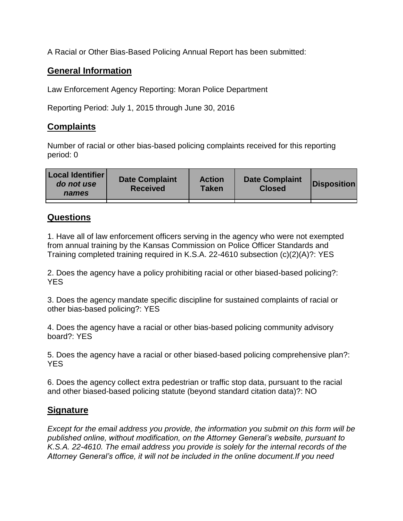A Racial or Other Bias-Based Policing Annual Report has been submitted:

## **General Information**

Law Enforcement Agency Reporting: Moran Police Department

Reporting Period: July 1, 2015 through June 30, 2016

## **Complaints**

Number of racial or other bias-based policing complaints received for this reporting period: 0

| <b>Local Identifier</b><br>do not use<br>names | <b>Date Complaint</b><br><b>Received</b> | <b>Action</b><br><b>Taken</b> | <b>Date Complaint</b><br><b>Closed</b> | Disposition |
|------------------------------------------------|------------------------------------------|-------------------------------|----------------------------------------|-------------|
|                                                |                                          |                               |                                        |             |

## **Questions**

1. Have all of law enforcement officers serving in the agency who were not exempted from annual training by the Kansas Commission on Police Officer Standards and Training completed training required in K.S.A. 22-4610 subsection (c)(2)(A)?: YES

2. Does the agency have a policy prohibiting racial or other biased-based policing?: YES

3. Does the agency mandate specific discipline for sustained complaints of racial or other bias-based policing?: YES

4. Does the agency have a racial or other bias-based policing community advisory board?: YES

5. Does the agency have a racial or other biased-based policing comprehensive plan?: YES

6. Does the agency collect extra pedestrian or traffic stop data, pursuant to the racial and other biased-based policing statute (beyond standard citation data)?: NO

## **Signature**

*Except for the email address you provide, the information you submit on this form will be published online, without modification, on the Attorney General's website, pursuant to K.S.A. 22-4610. The email address you provide is solely for the internal records of the Attorney General's office, it will not be included in the online document.If you need*